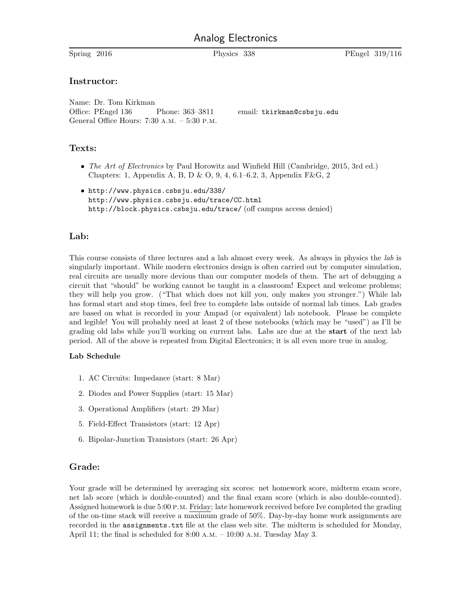# Analog Electronics

Spring 2016 Physics 338 PEngel 319/116

## Instructor:

Name: Dr. Tom Kirkman Office: PEngel 136 Phone: 363-3811 email: tkirkman@csbsju.edu General Office Hours: 7:30 a.m. – 5:30 p.m.

### Texts:

- The Art of Electronics by Paul Horowitz and Winfield Hill (Cambridge, 2015, 3rd ed.) Chapters: 1, Appendix A, B, D & O, 9, 4, 6.1–6.2, 3, Appendix F&G, 2
- http://www.physics.csbsju.edu/338/ http://www.physics.csbsju.edu/trace/CC.html http://block.physics.csbsju.edu/trace/ (off campus access denied)

## Lab:

This course consists of three lectures and a lab almost every week. As always in physics the lab is singularly important. While modern electronics design is often carried out by computer simulation, real circuits are usually more devious than our computer models of them. The art of debugging a circuit that "should" be working cannot be taught in a classroom! Expect and welcome problems; they will help you grow. ("That which does not kill you, only makes you stronger.") While lab has formal start and stop times, feel free to complete labs outside of normal lab times. Lab grades are based on what is recorded in your Ampad (or equivalent) lab notebook. Please be complete and legible! You will probably need at least 2 of these notebooks (which may be "used") as I'll be grading old labs while you'll working on current labs. Labs are due at the start of the next lab period. All of the above is repeated from Digital Electronics; it is all even more true in analog.

#### Lab Schedule

- 1. AC Circuits: Impedance (start: 8 Mar)
- 2. Diodes and Power Supplies (start: 15 Mar)
- 3. Operational Amplifiers (start: 29 Mar)
- 5. Field-Effect Transistors (start: 12 Apr)
- 6. Bipolar-Junction Transistors (start: 26 Apr)

# Grade:

Your grade will be determined by averaging six scores: net homework score, midterm exam score, net lab score (which is double-counted) and the final exam score (which is also double-counted). Assigned homework is due 5:00 p.m. Friday; late homework received before Ive completed the grading of the on-time stack will receive a maximum grade of 50%. Day-by-day home work assignments are recorded in the assignments.txt file at the class web site. The midterm is scheduled for Monday, April 11; the final is scheduled for 8:00 a.m. – 10:00 a.m. Tuesday May 3.